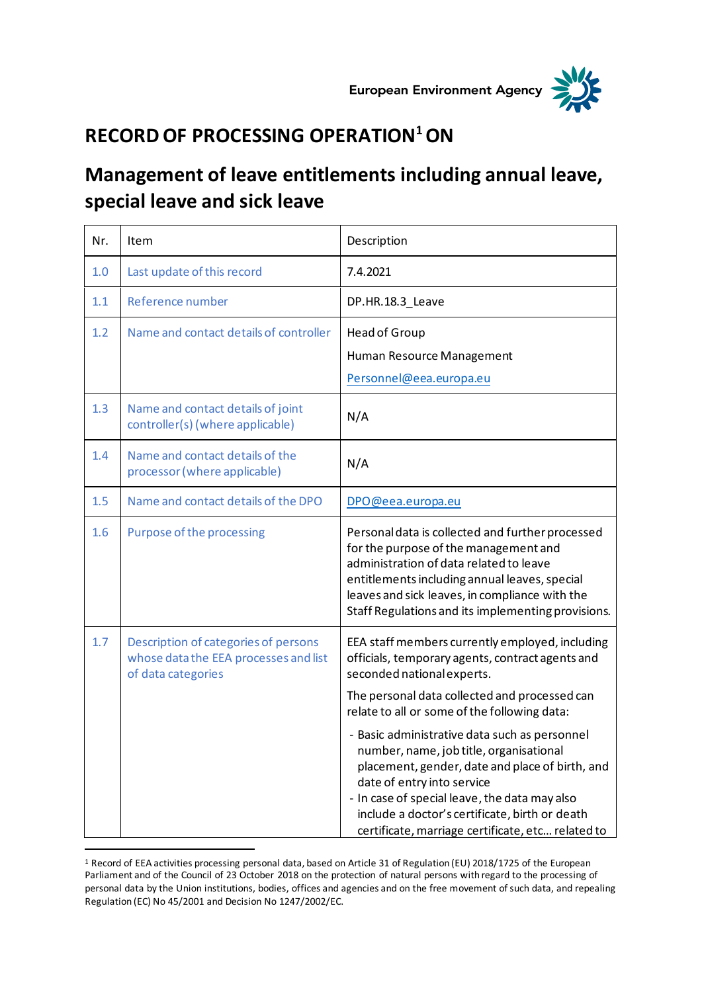



## **RECORD OF PROCESSING OPERATION<sup>1</sup>ON**

## **Management of leave entitlements including annual leave, special leave and sick leave**

| Nr. | Item                                                                                                | Description                                                                                                                                                                                                                                                                                                                       |
|-----|-----------------------------------------------------------------------------------------------------|-----------------------------------------------------------------------------------------------------------------------------------------------------------------------------------------------------------------------------------------------------------------------------------------------------------------------------------|
| 1.0 | Last update of this record                                                                          | 7.4.2021                                                                                                                                                                                                                                                                                                                          |
| 1.1 | Reference number                                                                                    | DP.HR.18.3_Leave                                                                                                                                                                                                                                                                                                                  |
| 1.2 | Name and contact details of controller                                                              | Head of Group<br>Human Resource Management<br>Personnel@eea.europa.eu                                                                                                                                                                                                                                                             |
| 1.3 | Name and contact details of joint<br>controller(s) (where applicable)                               | N/A                                                                                                                                                                                                                                                                                                                               |
| 1.4 | Name and contact details of the<br>processor (where applicable)                                     | N/A                                                                                                                                                                                                                                                                                                                               |
| 1.5 | Name and contact details of the DPO                                                                 | DPO@eea.europa.eu                                                                                                                                                                                                                                                                                                                 |
| 1.6 | Purpose of the processing                                                                           | Personal data is collected and further processed<br>for the purpose of the management and<br>administration of data related to leave<br>entitlements including annual leaves, special<br>leaves and sick leaves, in compliance with the<br>Staff Regulations and its implementing provisions.                                     |
| 1.7 | Description of categories of persons<br>whose data the EEA processes and list<br>of data categories | EEA staff members currently employed, including<br>officials, temporary agents, contract agents and<br>seconded national experts.                                                                                                                                                                                                 |
|     |                                                                                                     | The personal data collected and processed can<br>relate to all or some of the following data:                                                                                                                                                                                                                                     |
|     |                                                                                                     | - Basic administrative data such as personnel<br>number, name, job title, organisational<br>placement, gender, date and place of birth, and<br>date of entry into service<br>- In case of special leave, the data may also<br>include a doctor's certificate, birth or death<br>certificate, marriage certificate, etc related to |

<sup>1</sup> Record of EEA activities processing personal data, based on Article 31 of Regulation (EU) 2018/1725 of the European Parliament and of the Council of 23 October 2018 on the protection of natural persons with regard to the processing of personal data by the Union institutions, bodies, offices and agencies and on the free movement of such data, and repealing Regulation (EC) No 45/2001 and Decision No 1247/2002/EC.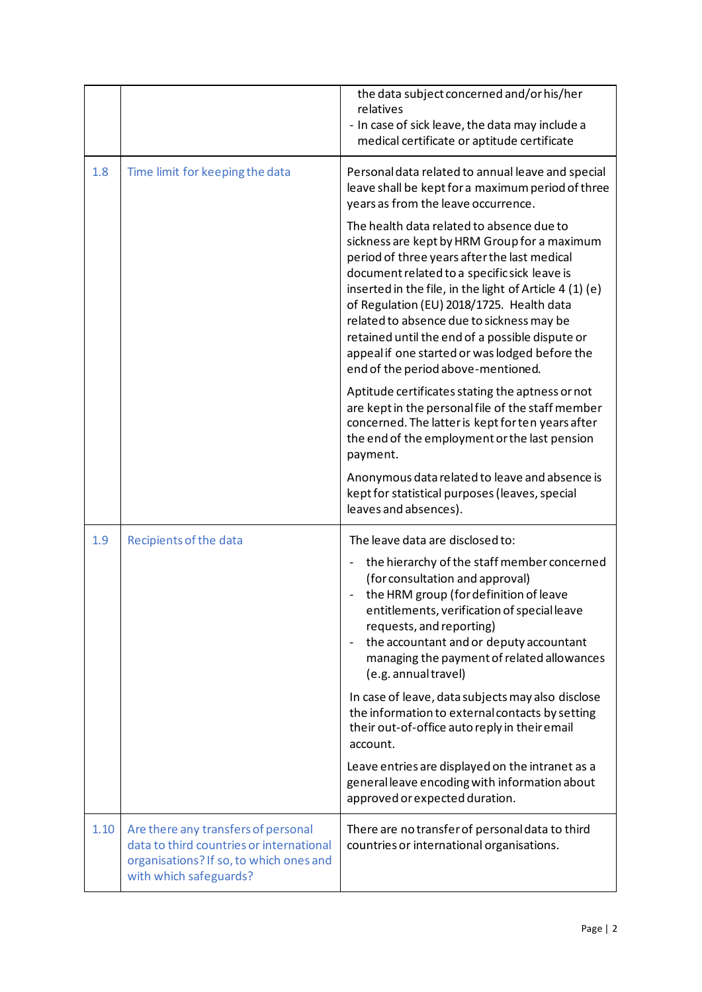|      |                                                                                                                                                      | the data subject concerned and/or his/her<br>relatives<br>- In case of sick leave, the data may include a<br>medical certificate or aptitude certificate                                                                                                                                                                                                                                                                                                                                  |
|------|------------------------------------------------------------------------------------------------------------------------------------------------------|-------------------------------------------------------------------------------------------------------------------------------------------------------------------------------------------------------------------------------------------------------------------------------------------------------------------------------------------------------------------------------------------------------------------------------------------------------------------------------------------|
| 1.8  | Time limit for keeping the data                                                                                                                      | Personal data related to annual leave and special<br>leave shall be kept for a maximum period of three<br>years as from the leave occurrence.                                                                                                                                                                                                                                                                                                                                             |
|      |                                                                                                                                                      | The health data related to absence due to<br>sickness are kept by HRM Group for a maximum<br>period of three years after the last medical<br>document related to a specific sick leave is<br>inserted in the file, in the light of Article 4 (1) (e)<br>of Regulation (EU) 2018/1725. Health data<br>related to absence due to sickness may be<br>retained until the end of a possible dispute or<br>appeal if one started or was lodged before the<br>end of the period above-mentioned. |
|      |                                                                                                                                                      | Aptitude certificates stating the aptness or not<br>are kept in the personal file of the staff member<br>concerned. The latter is kept for ten years after<br>the end of the employment or the last pension<br>payment.                                                                                                                                                                                                                                                                   |
|      |                                                                                                                                                      | Anonymous data related to leave and absence is<br>kept for statistical purposes (leaves, special<br>leaves and absences).                                                                                                                                                                                                                                                                                                                                                                 |
| 1.9  | Recipients of the data                                                                                                                               | The leave data are disclosed to:                                                                                                                                                                                                                                                                                                                                                                                                                                                          |
|      |                                                                                                                                                      | the hierarchy of the staff member concerned<br>(for consultation and approval)<br>the HRM group (for definition of leave<br>entitlements, verification of special leave<br>requests, and reporting)<br>the accountant and or deputy accountant<br>$\overline{\phantom{a}}$<br>managing the payment of related allowances<br>(e.g. annual travel)                                                                                                                                          |
|      |                                                                                                                                                      | In case of leave, data subjects may also disclose<br>the information to external contacts by setting<br>their out-of-office auto reply in their email<br>account.                                                                                                                                                                                                                                                                                                                         |
|      |                                                                                                                                                      | Leave entries are displayed on the intranet as a<br>general leave encoding with information about<br>approved or expected duration.                                                                                                                                                                                                                                                                                                                                                       |
| 1.10 | Are there any transfers of personal<br>data to third countries or international<br>organisations? If so, to which ones and<br>with which safeguards? | There are no transfer of personal data to third<br>countries or international organisations.                                                                                                                                                                                                                                                                                                                                                                                              |